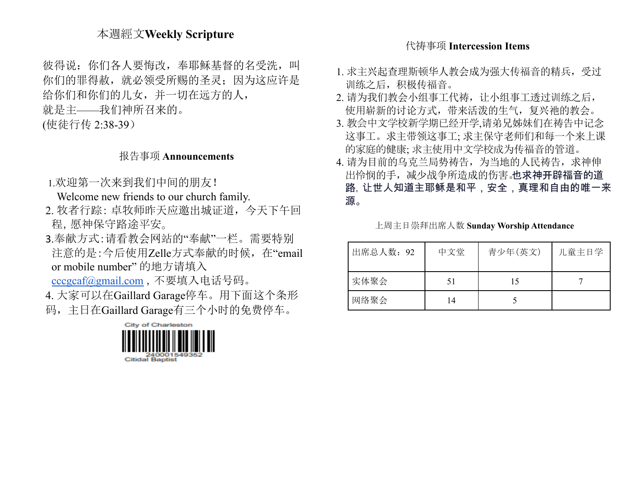## 本週經文**Weekly Scripture**

彼得说: 你们各人要悔改, 奉耶稣基督的名受洗, 叫 你们的罪得赦,就必领受所赐的圣灵;因为这应许是 给你们和你们的儿女,并一切在远方的人, 就是主——我们神所召来的。 (使徒行传 2:38-39)

## 报告事项 **Announcements**

1.欢迎第一次来到我们中间的朋友!

Welcome new friends to our church family.

- 2. 牧者行踪: 卓牧师昨天应邀出城证道,今天下午回 程,愿神保守路途平安。
- 3.奉献方式:请看教会网站的"奉献"一栏。需要特别 注意的是:今后使用Zelle方式奉献的时候, 在"email or mobile number" 的地方请填入

[cccgcaf@gmail.com](mailto:cccgcaf@gmail.com) ,不要填入电话号码。

- 4. 大家可以在Gaillard Garage停车。用下面这个条形
- 码,主日在Gaillard Garage有三个小时的免费停车。



### 代祷事项 **Intercession Items**

- 1. 求主兴起查理斯顿华人教会成为强大传福音的精兵,受过 训练之后,积极传福音。
- 2. 请为我们教会小组事工代祷,让小组事工透过训练之后, 使用崭新的讨论方式,带来活泼的生气,复兴祂的教会。
- 3. 教会中文学校新学期已经开学,请弟兄姊妹们在祷告中记念 这事工。求主带领这事工; 求主保守老师们和每一个来上课 的家庭的健康; 求主使用中文学校成为传福音的管道。
- 4. 请为目前的乌克兰局势祷告,为当地的人民祷告, 求神伸 出怜悯的手,减少战争所造成的伤害。也求神开辟福音的道 路,让世人知道主耶稣是和平,安全,真理和自由的唯一来 源。

| 出席总人数: 92 | 中文堂 | 青少年(英文) | 儿童主日学 |
|-----------|-----|---------|-------|
| 实体聚会      | 51  |         |       |
| 网络聚会      | 14  |         |       |

上周主日崇拜出席人数 **Sunday Worship Attendance**